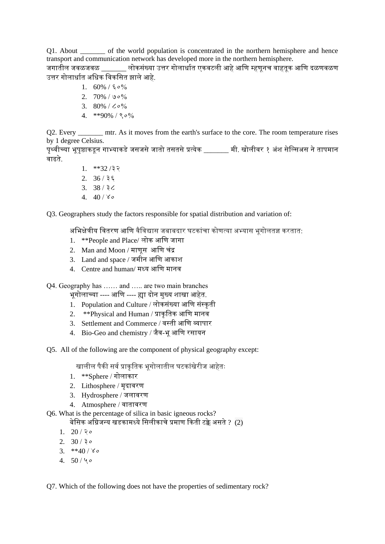Q1. About \_\_\_\_\_\_\_ of the world population is concentrated in the northern hemisphere and hence transport and communication network has developed more in the northern hemisphere.

जगातील जवळजवळ लोकसंख्या उत्तर गोलार्धात एकवटली आहे आणि म्हणनच वाहतक आणि दळणवळण उत्तर गोलार्धात अधिक विकसित झाले आहे.

- 1.  $60\%$  /  $5\degree$  0%
- 2. 70% / ७०%
- 3. 80% / ८०%
- 4. \*\*90% / ९०%

Q2. Every \_\_\_\_\_\_\_\_ mtr. As it moves from the earth's surface to the core. The room temperature rises by 1 degree Celsius.

पृथ्वीच्या भूपृष्ठाकडून गाभ्याकडे जसजसे जातो तसतसे प्रत्येक \_\_\_\_\_\_ मी. खोलीवर १ अंश सेल्सिअस ने तापमान वाढते.

> 1. \*\*32 /३२ 2. 36 / ३६ 3. 38 / ३८ 4.  $40/\gamma$

Q3. Geographers study the factors responsible for spatial distribution and variation of:

अभिक्षेत्रीय वितरण आणि वैविद्यास जबाबदार घटकांचा कोणत्या अभ्यास भूगोलतज्ञ करतात:

- 1. \*\*People and Place/ लोक अणण जागा
- 2. Man and Moon / माणूस अणण चंद्र
- 3. Land and space / जमीन अणण अकाश
- 4. Centre and human/ मध्य अणण मानव

Q4. Geography has …… and ….. are two main branches

भूगोलाच्या ---- अणण ---- ह्या दोन मुख्य शाखा अहेत.

- 1. Population and Culture / लोकसंख्या आणि संस्कृती
- 2.  $*$ Physical and Human / प्राकृतिक आणि मानव
- 3. Settlement and Commerce / वस्ती अणण व्यापार
- 4. Bio-Geo and chemistry / जैव-भूअणण रसायन

Q5. All of the following are the component of physical geography except:

खालील पैकी सर्व प्राकृतिक भूगोलातील घटकांखेरीज आहेतः

- 1. \*\*Sphere / गोलाकार
- 2. Lithosphere / मृदावरण
- 3. Hydrosphere / जलावरण
- 4. Atmosphere / वातावरण

Q6. What is the percentage of silica in basic igneous rocks?

बेसिक अग्निजन्य खडकामध्ये सिलीकाचे प्रमाण किती टक्के असते ? (2)

- 1.  $20 / 20$
- $2. \quad 30 / 30$
- 3.  $**40 / 80$
- 4.  $50 / 40$

Q7. Which of the following does not have the properties of sedimentary rock?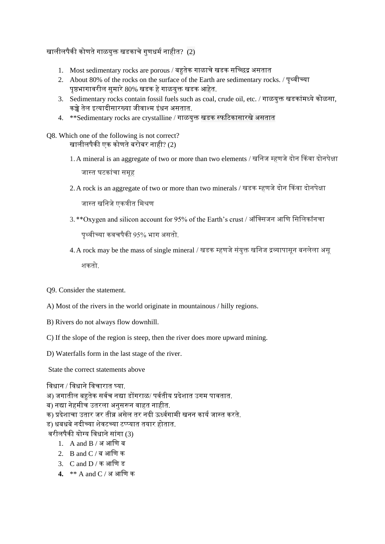खालीलपैकी कोणतेगाळयुक्त खडकाचेगुणधमानाहीत? (2)

- 1. Most sedimentary rocks are porous / बहुतेक गाळाचे खडक सच्छिद्र असतात
- 2. About 80% of the rocks on the surface of the Earth are sedimentary rocks. / पृथ्वीच्या पृष्ठभागावरील सुमारे 80% खडक हे गाळयुक्त खडक आहेत.
- 3. Sedimentary rocks contain fossil fuels such as coal, crude oil, etc. / गाळयुक्त खडकांमध्येकोळसा, कच्चे तेल इत्यादीसारख्या जीवाश्म इंधन असतात.
- 4.  $**$ Sedimentary rocks are crystalline / गाळयक्त खडक स्फटिकासारखे असतात

Q8. Which one of the following is not correct? खालीलपैकी एक कोणते बरोबर नाही? (2)

- 1. A mineral is an aggregate of two or more than two elements / खनिज म्हणजे दोन किंवा दोनपेक्षा जास्त घटकांचा समूह
- 2.A rock is an aggregate of two or more than two minerals / खडक म्हणजेदोन ककवा दोनपेक्षा

जास्त खनिजे एकत्रीत मिश्रण

3. \*\*Oxygen and silicon account for 95% of the Earth's crust / ऑक्सिजन आणि सिलिकॉनचा

पृथ्वीच्या कवचपैकी 95% भाग ऄसतो.

4. A rock may be the mass of single mineral / खडक म्हणजे संयुक्त खनिज द्रव्यापासून बनलेला असू शकतो.

Q9. Consider the statement.

- A) Most of the rivers in the world originate in mountainous / hilly regions.
- B) Rivers do not always flow downhill.
- C) If the slope of the region is steep, then the river does more upward mining.

D) Waterfalls form in the last stage of the river.

State the correct statements above

विधान / विधाने विचारात घ्या.

अ) जगातील बहुतेक सर्वच नद्या डोंगराळ/ पर्वतीय प्रदेशात उगम पावतात.

ब) नद्या नेहमीच उतरला अनुसरून वाहत नाहीत.

क) प्रदेशाचा उतार जर तीव्र असेल तर नदी ऊर्ध्वगामी खनन कार्य जास्त करते.

ड) धबधबेनदीच्या शेवटच्या टप्पप्पयात तयार होतात.

वरीलपैकी योग्य विधाने सांगा (3)

- 1. A and  $B / 3I$  आणि ब
- 2. B and  $C / a$  आणि क
- 3. C and D / क अणण ड
- **4.** \*\* A and C / ऄ अणण क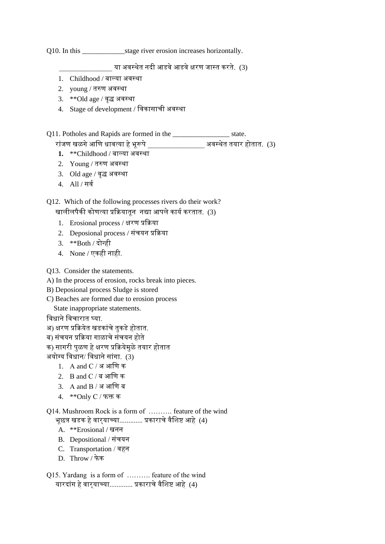Q10. In this \_\_\_\_\_\_\_\_\_\_\_\_\_\_\_\_\_\_stage river erosion increases horizontally.

या अवस्थेत नदी आडवे आडवे क्षरण जास्त करते. (3)

- 1. Childhood / बाल्या अवस्था
- 2. young / तरुण ऄवस्था
- 3. \*\*Old age / वृद्ध ऄवस्था
- 4. Stage of development / णवकासाची ऄवस्था

Q11. Potholes and Rapids are formed in the \_\_\_\_\_\_\_\_\_\_\_\_\_\_\_\_ state.

- रांजण खळगेअणण धावत्या हेभूरूपे\_\_\_\_\_\_\_\_\_\_\_\_\_\_\_\_ ऄवस्थेत तयार होतात. (3)
- **1.** \*\*Childhood / बासया ऄवस्था
- 2. Young / तरुण अवस्था
- $3.$  Old age / वृद्ध अवस्था
- 4. All / सवा

Q12. Which of the following processes rivers do their work?

खालीलपैकी कोणत्या प्रक्रियातून नद्या आपले कार्य करतात. (3)

- 1. Erosional process / क्षरण प्रकिया
- 2. Deposional process / संचयन प्रकिया
- 3. \*\*Both / दोन्ही
- 4. None / एकही नाही.

Q13. Consider the statements.

- A) In the process of erosion, rocks break into pieces.
- B) Deposional process Sludge is stored
- C) Beaches are formed due to erosion process

State inappropriate statements.

विधाने विचारात घ्या.

- अ) क्षरण प्रक्रियेत खडकांचे तुकडे होतात.
- ब) संचयन प्रक्रिया गाळाचे संचयन होते
- क) सागरी पुळण हे क्षरण प्रक्रियेमुळे तयार होतात

ऄयोग्य णवधान/ णवधानेसांगा. (3)

- $1. \; A$  and  $C / 3$  आणि क
- 2. B and C / ब अणण क
- $3.$  A and B / अ आणि ब
- 4. \*\*Only C / फक्त क

Q14. Mushroom Rock is a form of ………. feature of the wind

भूछत्र खडक हे वार्याच्या............. प्रकाराचे वैशिष्ट आहे (4)

- A. \*\*Erosional / खनन
- B. Depositional / संचयन
- C. Transportation / वहन
- D. Throw / फेक
- Q15. Yardang is a form of ………. feature of the wind यारदांग हे वारयाच्या............. प्रकाराचे वैशिष्ट आहे (4)